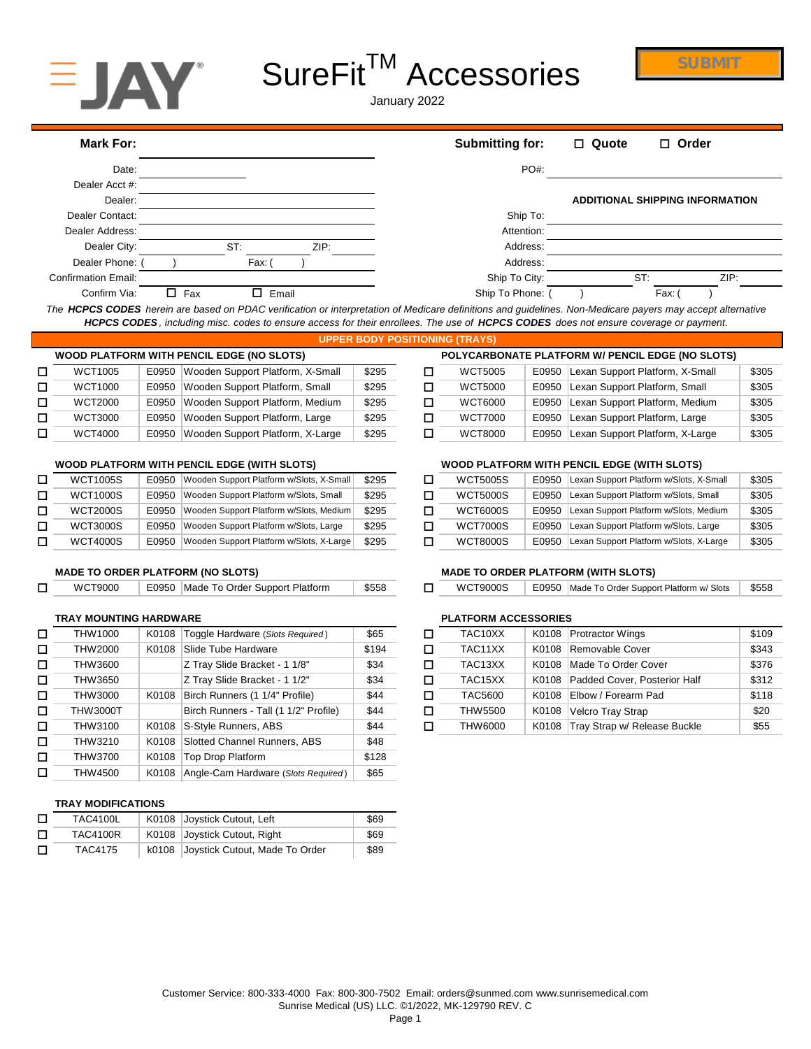

# SureFit<sup>™</sup> Accessories

**SUBMIT**

January 2022

| Mark For:                  |               |       | <b>Submitting for:</b> | $\Box$ Quote | $\Box$ Order                           |
|----------------------------|---------------|-------|------------------------|--------------|----------------------------------------|
| Date:                      |               |       | <b>PO#:</b>            |              |                                        |
| Dealer Acct #:             |               |       |                        |              |                                        |
| Dealer:                    |               |       |                        |              | <b>ADDITIONAL SHIPPING INFORMATION</b> |
| Dealer Contact:            |               |       | Ship To:               |              |                                        |
| Dealer Address:            |               |       | Attention:             |              |                                        |
| Dealer City:               | ST:           | ZIP:  | Address:               |              |                                        |
| Dealer Phone:              | Fax:          |       | Address:               |              |                                        |
| <b>Confirmation Email:</b> |               |       | Ship To City:          |              | ST:<br>ZIP:                            |
| Confirm Via:               | $\square$ Fax | Email | Ship To Phone:         |              | Fax:                                   |

*The HCPCS CODES herein are based on PDAC verification or interpretation of Medicare definitions and guidelines. Non-Medicare payers may accept alternative HCPCS CODES , including misc. codes to ensure access for their enrollees. The use of HCPCS CODES does not ensure coverage or payment.*

|   |                |       |                                           |       | UPPER BODY POSITIONING (TRAYS) |                                                  |                                 |
|---|----------------|-------|-------------------------------------------|-------|--------------------------------|--------------------------------------------------|---------------------------------|
|   |                |       | WOOD PLATFORM WITH PENCIL EDGE (NO SLOTS) |       |                                | POLYCARBONATE PLATFORM W/ PENCIL EDGE (NO SLOTS) |                                 |
| □ | <b>WCT1005</b> | E0950 | Wooden Support Platform, X-Small          | \$295 | WCT5005                        | E0950                                            | Lexan Support Platform, X-Small |
| □ | <b>WCT1000</b> | E0950 | Wooden Support Platform, Small            | \$295 | WCT5000                        | E0950                                            | Lexan Support Platform, Small   |
| □ | <b>WCT2000</b> | E0950 | Wooden Support Platform, Medium           | \$295 | WCT6000                        | E0950                                            | Lexan Support Platform, Medium  |
| □ | WCT3000        | E0950 | Wooden Support Platform, Large            | \$295 | WCT7000                        | E0950                                            | Lexan Support Platform, Large   |
| □ | <b>WCT4000</b> | E0950 | Wooden Support Platform, X-Large          | \$295 | <b>WCT8000</b>                 | E0950                                            | Lexan Support Platform, X-Large |

### **WOOD PLATFORM WITH PENCIL EDGE (WITH SLOTS) WOOD PLATFORM WITH PENCIL EDGE (WITH SLOTS)**

| <b>WCT1005S</b> | E0950 | Wooden Support Platform w/Slots, X-Small | \$295 | <b>WCT5005S</b> | E0950 |
|-----------------|-------|------------------------------------------|-------|-----------------|-------|
| <b>WCT1000S</b> | E0950 | Wooden Support Platform w/Slots, Small   | \$295 | <b>WCT5000S</b> | E0950 |
| <b>WCT2000S</b> | E0950 | Wooden Support Platform w/Slots, Medium  | \$295 | <b>WCT6000S</b> | E0950 |
| <b>WCT3000S</b> | E0950 | Wooden Support Platform w/Slots, Large   | \$295 | <b>WCT7000S</b> | E0950 |
| <b>WCT4000S</b> | E0950 | Wooden Support Platform w/Slots, X-Large | \$295 | <b>WCT8000S</b> | E0950 |

|  | WCT9000 |  | E0950 Made To Order Support Platform | \$558 |  |
|--|---------|--|--------------------------------------|-------|--|
|--|---------|--|--------------------------------------|-------|--|

# **TRAY MOUNTING HARDWARE PLATFORM ACCESSORIES**

| □ | THW1000         | K0108 | Toggle Hardware (Slots Required)      | \$65  | □ | TAC <sub>10</sub> XX | K0108 | <b>Protractor Wings</b>  |
|---|-----------------|-------|---------------------------------------|-------|---|----------------------|-------|--------------------------|
| □ | THW2000         | K0108 | Slide Tube Hardware                   | \$194 | □ | TAC11XX              | K0108 | Removable Cove           |
| □ | THW3600         |       | Z Tray Slide Bracket - 1 1/8"         | \$34  | □ | TAC <sub>13</sub> XX | K0108 | Made To Order C          |
| □ | THW3650         |       | Z Tray Slide Bracket - 1 1/2"         | \$34  | □ | TAC <sub>15</sub> XX | K0108 | Padded Cover, P          |
| □ | THW3000         | K0108 | Birch Runners (1 1/4" Profile)        | \$44  | □ | <b>TAC5600</b>       | K0108 | Elbow / Forearm I        |
| □ | <b>THW3000T</b> |       | Birch Runners - Tall (1 1/2" Profile) | \$44  | □ | <b>THW5500</b>       | K0108 | <b>Velcro Tray Strap</b> |
| □ | THW3100         | K0108 | S-Style Runners, ABS                  | \$44  | □ | THW6000              | K0108 | Tray Strap w/ Rel        |
| □ | THW3210         | K0108 | Slotted Channel Runners, ABS          | \$48  |   |                      |       |                          |
| □ | THW3700         | K0108 | Top Drop Platform                     | \$128 |   |                      |       |                          |
| □ | THW4500         | K0108 | Angle-Cam Hardware (Slots Required)   | \$65  |   |                      |       |                          |
|   |                 |       |                                       |       |   |                      |       |                          |

# **TRAY MODIFICATIONS**

| □ | TAC4100L | K0108 Joystick Cutout, Left          | \$69 |
|---|----------|--------------------------------------|------|
| □ | TAC4100R | K0108 Joystick Cutout, Right         | \$69 |
| □ | TAC4175  | k0108 Joystick Cutout, Made To Order | \$89 |

|         |       | OD PLATFORM WITH PENCIL EDGE (NO SLOTS) |       | POLYCARBONATE PLATFORM W/ PENCIL EDGE (NO SLOTS) |                |       |                                 |       |  |  |
|---------|-------|-----------------------------------------|-------|--------------------------------------------------|----------------|-------|---------------------------------|-------|--|--|
| WCT1005 | E0950 | Wooden Support Platform, X-Small        | \$295 |                                                  | WCT5005        | E0950 | Lexan Support Platform, X-Small | \$305 |  |  |
| WCT1000 | E0950 | Wooden Support Platform, Small          | \$295 |                                                  | WCT5000        | E0950 | Lexan Support Platform, Small   | \$305 |  |  |
| WCT2000 | E0950 | Wooden Support Platform, Medium         | \$295 |                                                  | <b>WCT6000</b> | E0950 | Lexan Support Platform, Medium  | \$305 |  |  |
| WCT3000 | E0950 | Wooden Support Platform, Large          | \$295 |                                                  | <b>WCT7000</b> | E0950 | Lexan Support Platform, Large   | \$305 |  |  |
| WCT4000 | E0950 | Wooden Support Platform, X-Large        | \$295 |                                                  | <b>WCT8000</b> | E0950 | Lexan Support Platform, X-Large | \$305 |  |  |

| WCT1005S | E0950 | Wooden Support Platform w/Slots, X-Small | \$295 | <b>WCT5005S</b> | E0950 | Lexan Support Platform w/Slots, X-Small | \$305 |
|----------|-------|------------------------------------------|-------|-----------------|-------|-----------------------------------------|-------|
| WCT1000S | E0950 | Wooden Support Platform w/Slots, Small   | \$295 | <b>WCT5000S</b> | E0950 | Lexan Support Platform w/Slots, Small   | \$305 |
| WCT2000S | E0950 | Wooden Support Platform w/Slots, Medium  | \$295 | <b>WCT6000S</b> | E0950 | Lexan Support Platform w/Slots, Medium  | \$305 |
| WCT3000S | E0950 | Wooden Support Platform w/Slots, Large   | \$295 | <b>WCT7000S</b> | E0950 | Lexan Support Platform w/Slots, Large   | \$305 |
| WCT4000S | E0950 | Wooden Support Platform w/Slots, X-Large | \$295 | <b>WCT8000S</b> | E0950 | Lexan Support Platform w/Slots, X-Large | \$305 |

### **MADE TO ORDER PLATFORM (NO SLOTS) MADE TO ORDER PLATFORM (WITH SLOTS)**

| WCT9000 |  | E0950 Made To Order Support Platform | \$558 |  | <b>WCT9000S</b> |  | E0950 Made To Order Support Platform w/ Slots | \$558 |  |
|---------|--|--------------------------------------|-------|--|-----------------|--|-----------------------------------------------|-------|--|
|---------|--|--------------------------------------|-------|--|-----------------|--|-----------------------------------------------|-------|--|

| THW1000         | K0108 | Toggle Hardware (Slots Required)      | \$65  | TAC <sub>10</sub> XX |       | K0108 Protractor Wings             | \$109 |
|-----------------|-------|---------------------------------------|-------|----------------------|-------|------------------------------------|-------|
| THW2000         | K0108 | Slide Tube Hardware                   | \$194 | TAC <sub>11</sub> XX |       | K0108 Removable Cover              | \$343 |
| THW3600         |       | Z Tray Slide Bracket - 1 1/8"         | \$34  | TAC <sub>13</sub> XX |       | K0108 Made To Order Cover          | \$376 |
| THW3650         |       | Z Tray Slide Bracket - 1 1/2"         | \$34  | TAC15XX              |       | K0108 Padded Cover, Posterior Half | \$312 |
| THW3000         | K0108 | Birch Runners (1 1/4" Profile)        | \$44  | <b>TAC5600</b>       |       | K0108 Elbow / Forearm Pad          | \$118 |
| <b>THW3000T</b> |       | Birch Runners - Tall (1 1/2" Profile) | \$44  | THW5500              | K0108 | Velcro Tray Strap                  | \$20  |
| THW3100         |       | K0108 S-Style Runners, ABS            | \$44  | THW6000              | K0108 | Tray Strap w/ Release Buckle       | \$55  |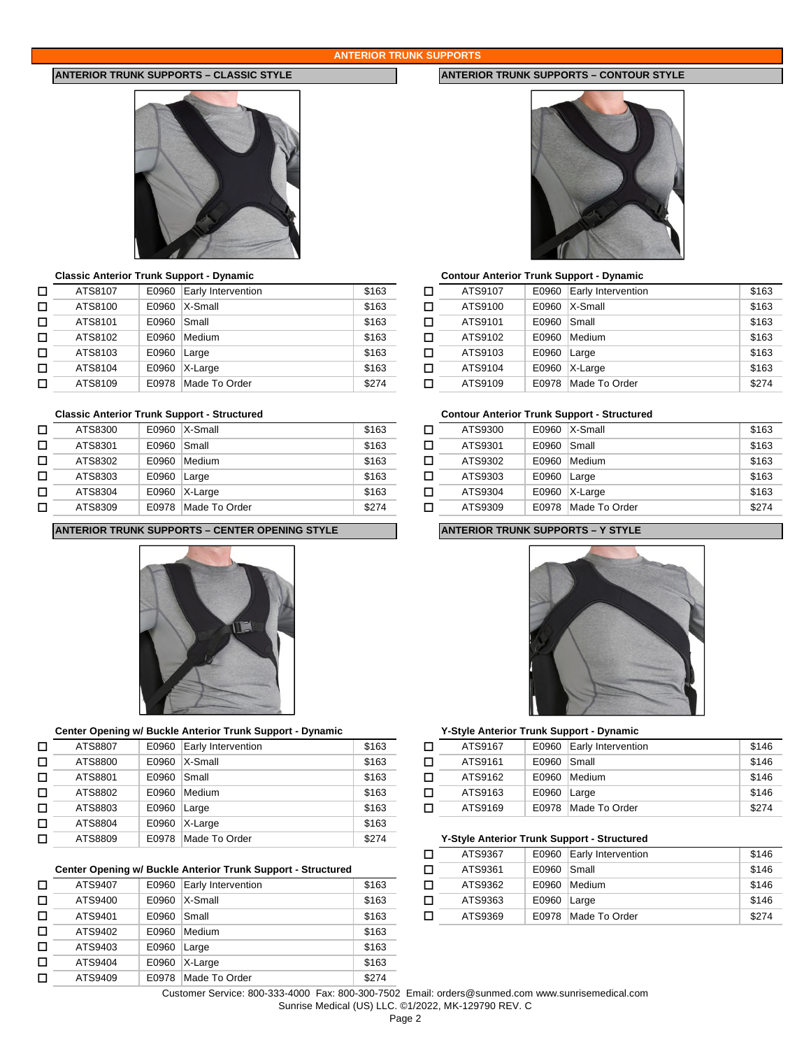### **ANTERIOR TRUNK SUPPORTS**



### **Classic Anterior Trunk Support - Dynamic Contour Anterior Trunk Support - Dynamic**

| ATS8107 | E0960 | Early Intervention | \$163                                            | □ | ATS9107 | E0960 |
|---------|-------|--------------------|--------------------------------------------------|---|---------|-------|
| ATS8100 | E0960 |                    | \$163                                            | □ | ATS9100 | E0960 |
| ATS8101 | E0960 | Small              | \$163                                            | □ | ATS9101 | E0960 |
| ATS8102 | E0960 | Medium             | \$163                                            | П | ATS9102 | E0960 |
| ATS8103 | E0960 |                    | \$163                                            | □ | ATS9103 | E0960 |
| ATS8104 | E0960 |                    | \$163                                            | □ | ATS9104 | E0960 |
| ATS8109 | E0978 |                    | \$274                                            | П | ATS9109 | E0978 |
|         |       |                    | $X-Small$<br>Large<br>$X-Large$<br>Made To Order |   |         |       |

| □ | ATS8300 | E0960 | X-Small       | \$163 |   | ATS9300 | E0960 |
|---|---------|-------|---------------|-------|---|---------|-------|
|   | ATS8301 | E0960 | Small         | \$163 |   | ATS9301 | E0960 |
|   | ATS8302 | E0960 | Medium        | \$163 |   | ATS9302 | E0960 |
|   | ATS8303 | E0960 | Large         | \$163 | п | ATS9303 | E0960 |
|   | ATS8304 | E0960 | $X-Large$     | \$163 |   | ATS9304 | E0960 |
|   | ATS8309 | E0978 | Made To Order | \$274 |   | ATS9309 | E0978 |

### **ANTERIOR TRUNK SUPPORTS – CENTER OPENING STYLE ANTERIOR TRUNK SUPPORTS – Y STYLE**



# **Center Opening w/ Buckle Anterior Trunk Support - Dynamic Y-Style Anterior Trunk Support - Dynamic**

| □ | ATS8809 | E0978 | Made To Order      | \$274 | Y-Style Anterior Trunk Su |       |
|---|---------|-------|--------------------|-------|---------------------------|-------|
| □ | ATS8804 | E0960 | X-Large            | \$163 |                           |       |
| □ | ATS8803 | E0960 | Large              | \$163 | ATS9169                   | E0978 |
| □ | ATS8802 | E0960 | Medium             | \$163 | ATS9163                   | E0960 |
| □ | ATS8801 | E0960 | Small              | \$163 | ATS9162                   | E0960 |
| Π | ATS8800 | E0960 | $X-Small$          | \$163 | ATS9161                   | E0960 |
| □ | ATS8807 | E0960 | Early Intervention | \$163 | ATS9167                   | E0960 |
|   |         |       |                    |       |                           |       |

### **Center Opening w/ Buckle Anterior Trunk Support - Structured**

| □ | ATS9407 | E0960 | Early Intervention | \$163 | □ |
|---|---------|-------|--------------------|-------|---|
| □ | ATS9400 | E0960 | X-Small            | \$163 | □ |
| □ | ATS9401 | E0960 | Small              | \$163 | П |
| П | ATS9402 | E0960 | Medium             | \$163 |   |
| □ | ATS9403 | E0960 | Large              | \$163 |   |
| □ | ATS9404 | E0960 | X-Large            | \$163 |   |
| П | ATS9409 | E0978 | Made To Order      | \$274 |   |

# **ANTERIOR TRUNK SUPPORTS – CLASSIC STYLE ANTERIOR TRUNK SUPPORTS – CONTOUR STYLE**



| ATS8107 |             | E0960 Early Intervention | \$163 |   | ATS9107 |             | E0960 Early Intervention | \$163 |
|---------|-------------|--------------------------|-------|---|---------|-------------|--------------------------|-------|
| ATS8100 |             | $E0960$ $X-Small$        | \$163 | п | ATS9100 |             | E0960   X-Small          | \$163 |
| ATS8101 | E0960 Small |                          | \$163 | п | ATS9101 | E0960 Small |                          | \$163 |
| ATS8102 |             | E0960 Medium             | \$163 | п | ATS9102 |             | E0960 Medium             | \$163 |
| ATS8103 | E0960 Large |                          | \$163 |   | ATS9103 | E0960 Large |                          | \$163 |
| ATS8104 |             | $E0960$ X-Large          | \$163 |   | ATS9104 |             | $E0960$ X-Large          | \$163 |
| ATS8109 |             | E0978 Made To Order      | \$274 | п | ATS9109 |             | E0978 Made To Order      | \$274 |

# **Classic Anterior Trunk Support - Structured Contour Anterior Trunk Support - Structured**

| ATS8300 |               | $E0960$ $X-Small$   | \$163 | ATS9300 |             | $E0960$ $X-Small$   | \$163 |
|---------|---------------|---------------------|-------|---------|-------------|---------------------|-------|
| ATS8301 | E0960 Small   |                     | \$163 | ATS9301 | E0960 Small |                     | \$163 |
| ATS8302 |               | E0960 Medium        | \$163 | ATS9302 |             | E0960 Medium        | \$163 |
| ATS8303 | $E0960$ Large |                     | \$163 | ATS9303 | E0960 Large |                     | \$163 |
| ATS8304 |               | E0960 X-Large       | \$163 | ATS9304 |             | E0960 X-Large       | \$163 |
| ATS8309 |               | E0978 Made To Order | \$274 | ATS9309 |             | E0978 Made To Order | \$274 |



| ATS8807 |               | E0960 Early Intervention | \$163 | ATS9167 |             | E0960 Early Intervention | \$146 |
|---------|---------------|--------------------------|-------|---------|-------------|--------------------------|-------|
| ATS8800 |               | E0960   X-Small          | \$163 | ATS9161 | E0960 Small |                          | \$146 |
| ATS8801 | E0960 Small   |                          | \$163 | ATS9162 |             | E0960 Medium             | \$146 |
| ATS8802 |               | E0960 Medium             | \$163 | ATS9163 | E0960 Large |                          | \$146 |
| ATS8803 | $E0960$ Large |                          | \$163 | ATS9169 |             | E0978 Made To Order      | \$274 |

# **Y-Style Anterior Trunk Support - Structured**

|         |       |                                                          |       | ATS9367 |             | E0960 Early Intervention | \$146 |
|---------|-------|----------------------------------------------------------|-------|---------|-------------|--------------------------|-------|
|         |       | er Opening w/ Buckle Anterior Trunk Support - Structured |       | ATS9361 | E0960 Small |                          | \$146 |
| ATS9407 |       | E0960 Early Intervention                                 | \$163 | ATS9362 |             | E0960 Medium             | \$146 |
| ATS9400 |       | E0960   X-Small                                          | \$163 | ATS9363 | E0960 Large |                          | \$146 |
| ATS9401 | E0960 | Small                                                    | \$163 | ATS9369 |             | E0978 Made To Order      | \$274 |

Customer Service: 800-333-4000 Fax: 800-300-7502 Email: orders@sunmed.com www.sunrisemedical.com

Sunrise Medical (US) LLC. ©1/2022, MK-129790 REV. C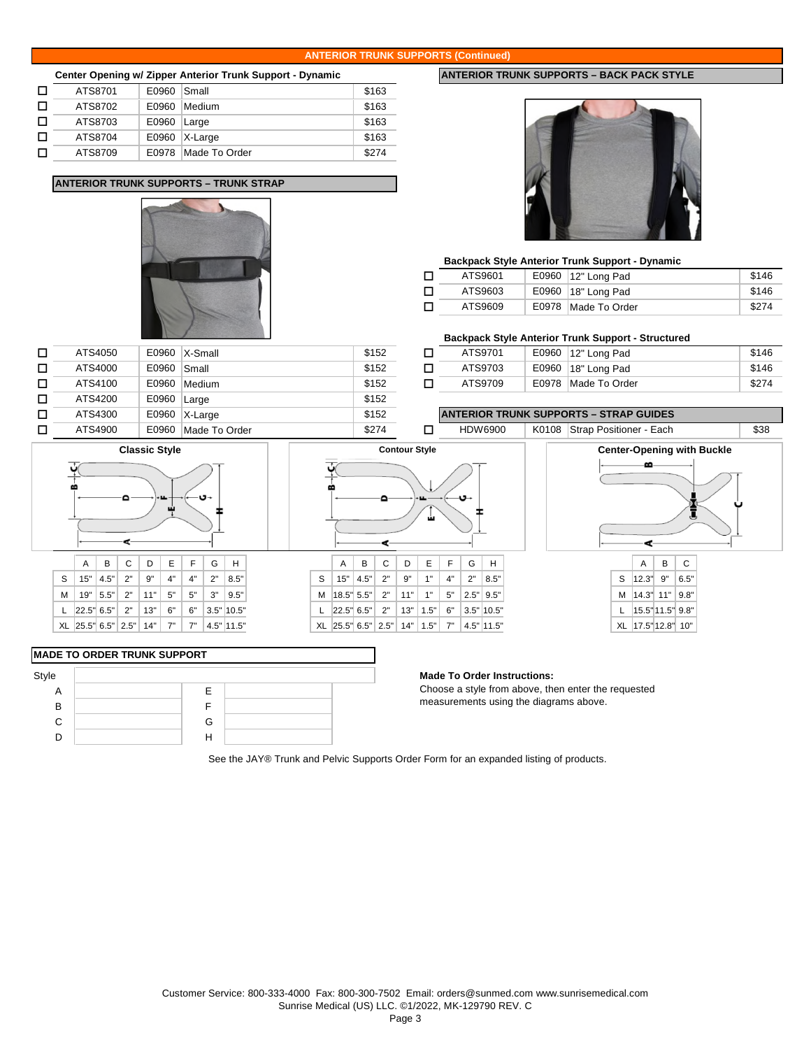### **ANTERIOR TRUNK SUPPORTS (Continued)**

|   |         |       | Center Opening w/ Zipper Anterior Trunk Support - Dynamic |       |
|---|---------|-------|-----------------------------------------------------------|-------|
| П | ATS8701 | E0960 | Small                                                     | \$163 |
| П | ATS8702 | E0960 | Medium                                                    | \$163 |
| П | ATS8703 | E0960 | Large                                                     | \$163 |
| П | ATS8704 | E0960 | X-Large                                                   | \$163 |
| ш | ATS8709 | F0978 | Made To Order                                             | \$274 |

**ANTERIOR TRUNK SUPPORTS – TRUNK STRAP**



 $\Box$  ATS4200 | E0960 | Large  $\Box$  \$152

### **Backpack Style Anterior Trunk Support - Dynamic**

|   | ATS9601 | E0960   12" Long Pad  | \$146 |
|---|---------|-----------------------|-------|
| П | ATS9603 | E0960   18" Long Pad  | \$146 |
| П | ATS9609 | E0978   Made To Order | \$274 |

### **Backpack Style Anterior Trunk Support - Structured**

|        |         |       |         |       |         |       | ___           |       |
|--------|---------|-------|---------|-------|---------|-------|---------------|-------|
| -<br>− | ATS4050 | E0960 | X-Small | \$152 | ATS9701 | E0960 | 12" Long Pad  | \$146 |
| -<br>− | ATS4000 | E0960 | Small   | \$152 | ATS9703 | E0960 | 18" Long Pad  | \$146 |
| -<br>− | ATS4100 | E0960 | Medium  | \$152 | ATS9709 | E0978 | Made To Order | \$274 |

ھ

¢

\$38

### □ ATS4900 E0960 Made To Order 3274 D HDW6900 | K0108 Strap Positioner - Each ATS4300 E0960 \$152 **ANTERIOR TRUNK SUPPORTS – STRAP GUIDES**



 $\Box$  ATS4300 | E0960 | X-Large

# **MADE TO ORDER TRUNK SUPPORT**

| Style |   |  | <b>Made To Order Instructions:</b> |
|-------|---|--|------------------------------------|
| A     |   |  | Choose a style from above, the     |
| B     |   |  | measurements using the diagra      |
| C     | G |  |                                    |
|       |   |  |                                    |
|       |   |  |                                    |

Choose a style from above, then enter the requested measurements using the diagrams above.

See the JAY® Trunk and Pelvic Supports Order Form for an expanded listing of products.

# A B C D E F G H A B C D E F G H A B C

|                                                  |  | A   D   V   D   L |  | - 9 |                                                  |
|--------------------------------------------------|--|-------------------|--|-----|--------------------------------------------------|
|                                                  |  |                   |  |     | $S$   15"   4.5"   2"   9"   4"   4"   2"   8.5" |
|                                                  |  |                   |  |     | M   19"   5.5"   2"   11"   5"   5"   3"   9.5"  |
| L 22.5" 6.5"   2"   13"   6"   6"   3.5"   10.5" |  |                   |  |     |                                                  |
|                                                  |  |                   |  |     | XL 25.5" 6.5" 2.5" 14"   7"   7"   4.5" 11.5"    |

# **ANTERIOR TRUNK SUPPORTS - BACK PACK STYLE**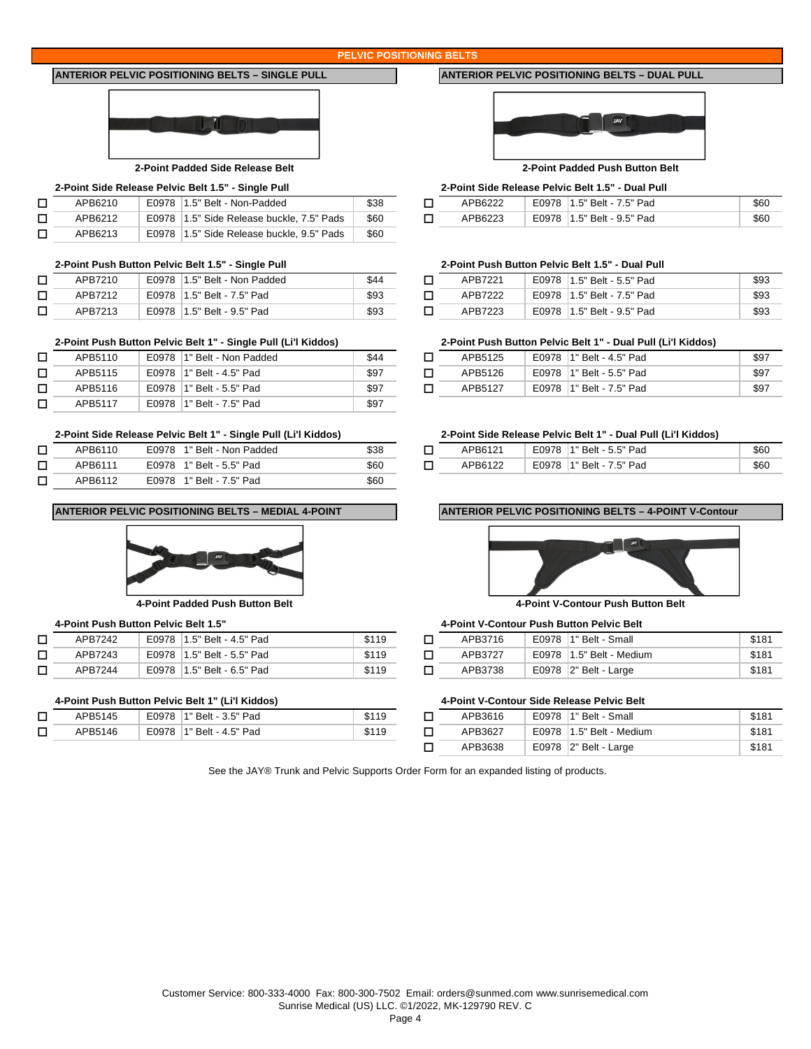### **PELVIC POSITIONING BELTS**

# **ANTERIOR PELVIC POSITIONING BELTS – SINGLE PULL ANTERIOR PELVIC POSITIONING BELTS – DUAL PULL**



# **2-Point Side Release Pelvic Belt 1.5" - Single Pull 2-Point Side Release Pelvic Belt 1.5" - Dual Pull**

| APB6210 | E0978 1.5" Belt - Non-Padded               | \$38 | APB6222 | E0978 |
|---------|--------------------------------------------|------|---------|-------|
| APB6212 | E0978 11.5" Side Release buckle, 7.5" Pads | \$60 | APB6223 | E0978 |
| APB6213 | E0978 11.5" Side Release buckle, 9.5" Pads | \$60 |         |       |

### **2-Point Push Button Pelvic Belt 1.5" - Single Pull 2-Point Push Button Pelvic Belt 1.5" - Dual Pull**

| $\overline{\phantom{0}}$ | APB7210 | E0978 1.5" Belt - Non Padded | \$44 | APB7221 | E0978 1.5" Belt - 5.5" Pad   |
|--------------------------|---------|------------------------------|------|---------|------------------------------|
|                          | APB7212 | E0978 1.5" Belt - 7.5" Pad   | \$93 | APB7222 | E0978   1.5" Belt - 7.5" Pad |
|                          | APB7213 | E0978 1.5" Belt - 9.5" Pad   | \$93 | APB7223 | E0978   1.5" Belt - 9.5" Pad |

### **2-Point Push Button Pelvic Belt 1" - Single Pull (Li'l Kiddos) 2-Point Push Button Pelvic Belt 1" - Dual Pull (Li'l Kiddos)**

| APB5110 | E0978 1" Belt - Non Padded | \$44 | APB5125 | E0978   1" Belt - 4.5" Pad |
|---------|----------------------------|------|---------|----------------------------|
| APB5115 | E0978   1" Belt - 4.5" Pad | \$97 | APB5126 | E0978   1" Belt - 5.5" Pad |
| APB5116 | E0978   1" Belt - 5.5" Pad | \$97 | APB5127 | E0978 1" Belt - 7.5" Pad   |
| APB5117 | E0978 1" Belt - 7.5" Pad   | \$97 |         |                            |

### **2-Point Side Release Pelvic Belt 1" - Single Pull (Li'l Kiddos) 2-Point Side Release Pelvic Belt 1" - Dual Pull (Li'l Kiddos)**

| APB6110 | E0978 1" Belt - Non Padded | \$38 | APB6121 | E0978 |
|---------|----------------------------|------|---------|-------|
| APB6111 | E0978 1" Belt - 5.5" Pad   | \$60 | APB6122 | E0978 |
| APB6112 | E0978 1" Belt - 7.5" Pad   | \$60 |         |       |

### **ANTERIOR PELVIC POSITIONING BELTS – MEDIAL 4-POINT ANTERIOR PELVIC POSITIONING BELTS – 4-POINT V-Contour**



**4-Point Padded Push Button Belt 4-Point V-Contour Push Button Belt**

| APB7242 | E0978 1.5" Belt - 4.5" Pad | \$119 | APB3716 | E0978 |
|---------|----------------------------|-------|---------|-------|
| APB7243 | E0978 1.5" Belt - 5.5" Pad | \$119 | APB3727 | E0978 |
| APB7244 | E0978 1.5" Belt - 6.5" Pad | \$119 | APB3738 | E0978 |

### **4-Point Push Button Pelvic Belt 1" (Li'l Kiddos) 4-Point V-Contour Side Release Pelvic Belt**

| □      | APB5145 | 1" Belt - 3.5" Pad<br>E0978 | \$119<br>ונה | APB3616 | E0978        |
|--------|---------|-----------------------------|--------------|---------|--------------|
| $\Box$ | APB5146 | E0978<br>1" Belt - 4.5" Pad | \$119        | APB3627 | E0978        |
|        |         |                             |              | 1000000 | $F^{\wedge}$ |



### **2-Point Padded Side Release Belt 2-Point Padded Push Button Belt**

| int Side Release Pelvic Belt 1.5" - Single Pull |  |                              |      |         | 2-Point Side Release Pelvic Belt 1.5" - Dual Pull |      |
|-------------------------------------------------|--|------------------------------|------|---------|---------------------------------------------------|------|
| APB6210                                         |  | E0978 1.5" Belt - Non-Padded | \$38 | APB6222 | E0978 1.5" Belt - 7.5" Pad                        | \$60 |

| п |  | E0978 1.5" Belt - 9.5" Pad |  |
|---|--|----------------------------|--|
|   |  |                            |  |

| APB7210 | E0978 1.5" Belt - Non Padded | \$44 | APB7221 | E0978 1.5" Belt - 5.5" Pad | \$93 |
|---------|------------------------------|------|---------|----------------------------|------|
| APB7212 | E0978 1.5" Belt - 7.5" Pad   | \$93 | APB7222 | E0978 1.5" Belt - 7.5" Pad | \$93 |
| APB7213 | E0978 1.5" Belt - 9.5" Pad   | \$93 | APB7223 | E0978 1.5" Belt - 9.5" Pad | \$93 |

| APB5110 | E0978  1" Belt - Non Padded | \$44 | APB5125 | E0978 | 1" Belt - 4.5" Pad | \$97 |
|---------|-----------------------------|------|---------|-------|--------------------|------|
| APB5115 | E0978 1" Belt - 4.5" Pad    | \$97 | APB5126 | E0978 | 1" Belt - 5.5" Pad | \$97 |
| APB5116 | E0978 1" Belt - 5.5" Pad    | \$97 | APB5127 | E0978 | 1" Belt - 7.5" Pad | \$97 |

| APB6110 | E0978<br>1" Belt - Non Padded | \$38 | APB6121 | E0978<br><sup>1</sup> 1" Belt - 5.5" Pad | \$60 |
|---------|-------------------------------|------|---------|------------------------------------------|------|
| APB6111 | E0978 1" Belt - 5.5" Pad      | \$60 | APB6122 | E0978 1" Belt - 7.5" Pad                 | \$60 |



# **4-Point Push Button Pelvic Belt 1.5" 4-Point V-Contour Push Button Pelvic Belt**

| APB7242 | E0978 1.5" Belt - 4.5" Pad   | \$119 | APB3716 | E0978<br>1" Belt - Small | \$18' |
|---------|------------------------------|-------|---------|--------------------------|-------|
| APB7243 | E0978   1.5" Belt - 5.5" Pad | \$119 | APB3727 | E0978 1.5" Belt - Medium | \$18' |
| APB7244 | E0978   1.5" Belt - 6.5" Pad | \$119 | APB3738 | E0978 $ 2"$ Belt - Large | \$181 |

| APB5145 | E0978 | 1" Belt - 3.5" Pad       | \$119 | APB3616 | E0978 | ้1" Belt - ง<br>Small        | \$181 |
|---------|-------|--------------------------|-------|---------|-------|------------------------------|-------|
| APB5146 |       | E0978 1" Belt - 4.5" Pad | \$119 | APB3627 |       | $E0978$   1.5" Belt - Medium | \$181 |
|         |       |                          |       | APB3638 |       | E0978   2" Belt - I<br>Large | \$181 |

See the JAY® Trunk and Pelvic Supports Order Form for an expanded listing of products.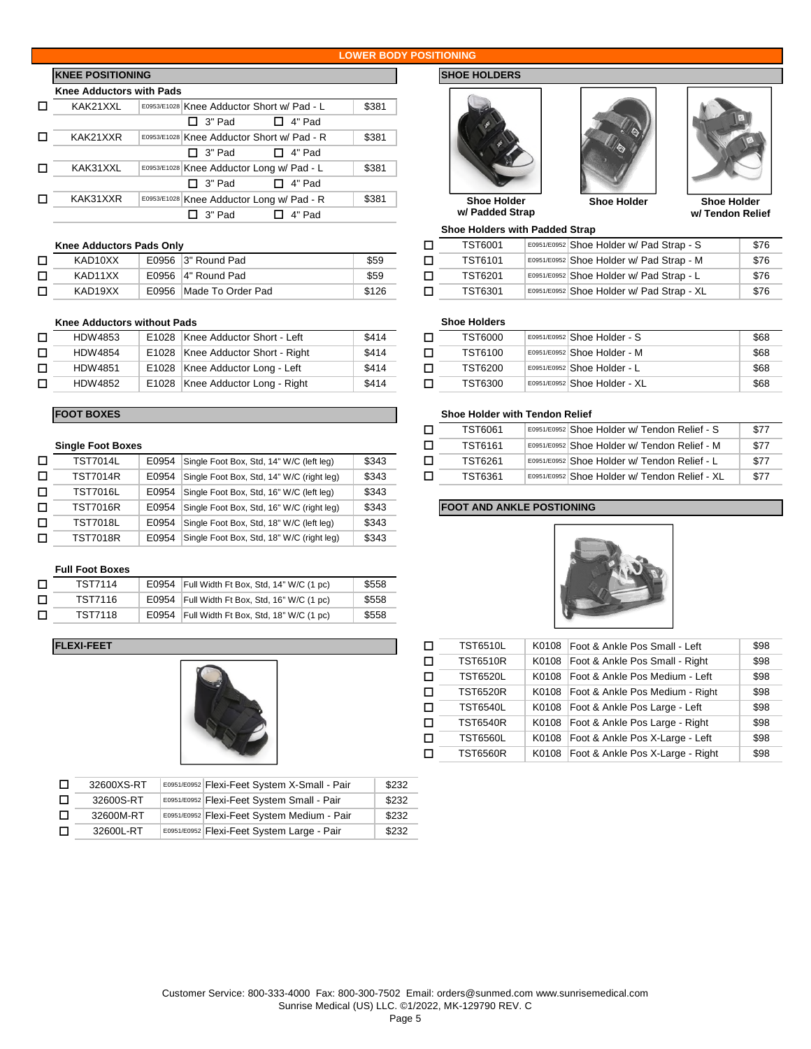### **LOWER BODY POSITIONING**

# **KNEE POSITIONING SHOE HOLDERS**

| <b>Knee Adductors with Pads</b> |               |                                            |       |  |  |  |  |  |
|---------------------------------|---------------|--------------------------------------------|-------|--|--|--|--|--|
| KAK21XXL                        |               | E0953/E1028 Knee Adductor Short w/ Pad - L |       |  |  |  |  |  |
|                                 | □ 3" Pad      | □ 4" Pad                                   |       |  |  |  |  |  |
| KAK21XXR                        |               | E0953/E1028 Knee Adductor Short w/ Pad - R | \$381 |  |  |  |  |  |
|                                 | $\Box$ 3" Pad | □ 4" Pad                                   |       |  |  |  |  |  |
| KAK31XXL                        |               | E0953/E1028 Knee Adductor Long w/ Pad - L  | \$381 |  |  |  |  |  |
|                                 | $\Box$ 3" Pad | □ 4" Pad                                   |       |  |  |  |  |  |
| KAK31XXR                        |               | E0953/E1028 Knee Adductor Long w/ Pad - R  | \$381 |  |  |  |  |  |
|                                 | 3" Pad        | 4" Pad                                     |       |  |  |  |  |  |

# **Knee Adductors Pads Only**

| KAD10XX | E0956 3" Round Pad      | \$59  | TST6101        | E0951/E0952 Shoe Holder w/ Pad Strap - N |
|---------|-------------------------|-------|----------------|------------------------------------------|
| KAD11XX | E0956 4" Round Pad      | \$59  | <b>TST6201</b> | E0951/E0952 Shoe Holder w/ Pad Strap - L |
| KAD19XX | E0956 Made To Order Pad | \$126 | <b>TST6301</b> | E0951/E0952 Shoe Holder w/ Pad Strap - X |

### **Knee Adductors without Pads**

| HDW4853        | E1028 Knee Adductor Short - Left  | \$414 | TST6000 | E0951/E0952 |
|----------------|-----------------------------------|-------|---------|-------------|
| <b>HDW4854</b> | E1028 Knee Adductor Short - Right | \$414 | TST6100 | E0951/E0952 |
| <b>HDW4851</b> | E1028 Knee Adductor Long - Left   | \$414 | TST6200 | E0951/E0952 |
| <b>HDW4852</b> | E1028 Knee Adductor Long - Right  | \$414 | TST6300 | E0951/E0952 |

| <b>Single Foot Boxes</b> |  |
|--------------------------|--|
|--------------------------|--|

| D | <b>TST7014L</b> | E0954 Single Foot Box, Std, 14" W/C (left leg)  | \$343 | TST6261                          | E0951/E0952 Shoe Holder w/ Tendon Relief - L |  |
|---|-----------------|-------------------------------------------------|-------|----------------------------------|----------------------------------------------|--|
|   | <b>TST7014R</b> | E0954 Single Foot Box, Std, 14" W/C (right leg) | \$343 | TST6361                          | E0951/E0952 Shoe Holder w/ Tendon Relief - X |  |
| □ | <b>TST7016L</b> | E0954 Single Foot Box, Std, 16" W/C (left leg)  | \$343 |                                  |                                              |  |
|   | <b>TST7016R</b> | E0954 Single Foot Box, Std, 16" W/C (right leg) | \$343 | <b>FOOT AND ANKLE POSTIONING</b> |                                              |  |
| □ | <b>TST7018L</b> | E0954 Single Foot Box, Std, 18" W/C (left leg)  | \$343 |                                  |                                              |  |
|   | <b>TST7018R</b> | E0954 Single Foot Box, Std, 18" W/C (right leg) | \$343 |                                  |                                              |  |

# **Full Foot Boxes**

| п | TST7114 | E0954 Full Width Ft Box, Std, 14" W/C (1 pc) | \$558 |
|---|---------|----------------------------------------------|-------|
| п | TST7116 | E0954 Full Width Ft Box, Std, 16" W/C (1 pc) | \$558 |
| п | TST7118 | E0954 Full Width Ft Box, Std, 18" W/C (1 pc) | \$558 |

# **FLEXI-FEET**



| $\Box$ | 32600XS-RT | E0951/E0952 Flexi-Feet System X-Small - Pair | \$232 |
|--------|------------|----------------------------------------------|-------|
| $\Box$ | 32600S-RT  | E0951/E0952 Flexi-Feet System Small - Pair   | \$232 |
| D.     | 32600M-RT  | E0951/E0952 Flexi-Feet System Medium - Pair  | \$232 |
| $\Box$ | 32600L-RT  | E0951/E0952 Flexi-Feet System Large - Pair   | \$232 |







**w/ Tendon Relief**

**Shoe Holder w/ Padded Strap**

**Shoe Holders with Padded Strap**

| e Adductors Pads Only |                         | TST6001 | E0951/E0952 Shoe Holder w/ Pad Strap - S | \$76           |                                           |      |
|-----------------------|-------------------------|---------|------------------------------------------|----------------|-------------------------------------------|------|
| KAD10XX               | E0956 3" Round Pad      | \$59    |                                          | TST6101        | E0951/E0952 Shoe Holder w/ Pad Strap - M  | \$76 |
| KAD11XX               | E0956 4" Round Pad      | \$59    |                                          | <b>TST6201</b> | E0951/E0952 Shoe Holder w/ Pad Strap - L  | \$76 |
| KAD19XX               | E0956 Made To Order Pad | \$126   |                                          | TST6301        | E0951/E0952 Shoe Holder w/ Pad Strap - XL | \$76 |

# **Shoe Holders**

| HDW4853 | E1028 Knee Adductor Short - Left  | \$414 | <b>TST6000</b> | E0951/E0952 Shoe Holder - S  | \$68 |
|---------|-----------------------------------|-------|----------------|------------------------------|------|
| HDW4854 | E1028 Knee Adductor Short - Right | \$414 | TST6100        | E0951/E0952 Shoe Holder - M  | \$68 |
| HDW4851 | E1028 Knee Adductor Long - Left   | \$414 | <b>TST6200</b> | E0951/E0952 Shoe Holder - L  | \$68 |
| HDW4852 | E1028 Knee Adductor Long - Right  | \$414 | TST6300        | E0951/E0952 Shoe Holder - XL | \$68 |

# **FOOT BOXES Shoe Holder with Tendon Relief**

|                 |       |                                                 |       | TST6061 | E0951/E0952 Shoe Holder w/ Tendon Relief - S  | \$77 |
|-----------------|-------|-------------------------------------------------|-------|---------|-----------------------------------------------|------|
| ale Foot Boxes  |       |                                                 |       | TST6161 | E0951/E0952 Shoe Holder w/ Tendon Relief - M  | \$77 |
| <b>TST7014L</b> | E0954 | Single Foot Box, Std, 14" W/C (left leg)        | \$343 | TST6261 | E0951/E0952 Shoe Holder w/ Tendon Relief - L  | \$77 |
| TST7014R        |       | E0954 Single Foot Box, Std, 14" W/C (right leg) | \$343 | TST6361 | E0951/E0952 Shoe Holder w/ Tendon Relief - XL | \$77 |

# **FOOT AND ANKLE POSTIONING**



| □ | TST6510L        | K0108 | Foot & Ankle Pos Small - Left    | \$98 |
|---|-----------------|-------|----------------------------------|------|
| □ | <b>TST6510R</b> | K0108 | Foot & Ankle Pos Small - Right   | \$98 |
| □ | TST6520L        | K0108 | Foot & Ankle Pos Medium - Left   | \$98 |
| □ | <b>TST6520R</b> | K0108 | Foot & Ankle Pos Medium - Right  | \$98 |
| □ | TST6540L        | K0108 | Foot & Ankle Pos Large - Left    | \$98 |
| □ | <b>TST6540R</b> | K0108 | Foot & Ankle Pos Large - Right   | \$98 |
| □ | TST6560L        | K0108 | Foot & Ankle Pos X-Large - Left  | \$98 |
| □ | <b>TST6560R</b> | K0108 | Foot & Ankle Pos X-Large - Right | \$98 |